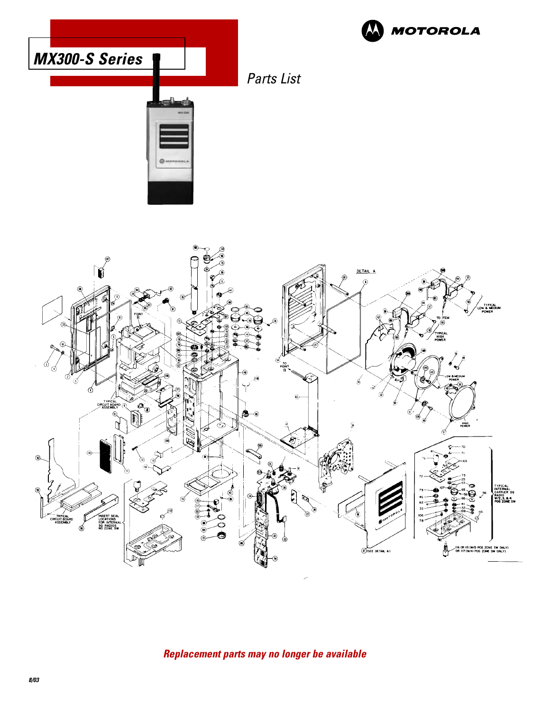



Parts List



**Replacement parts may no longer be available**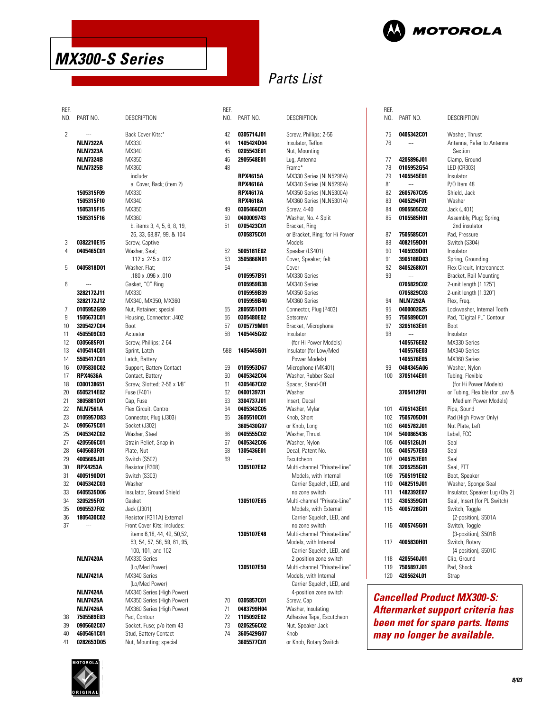

# Parts List

 $\mathbf{r}$ 

REF. NO. PART NO.

| REF. |                   |                             |
|------|-------------------|-----------------------------|
| NO.  | PART NO.          | DESCRIPTION                 |
|      |                   |                             |
|      |                   |                             |
| 2    |                   | Back Cover Kits:*           |
|      | <b>NLN7322A</b>   | MX330                       |
|      | <b>NLN7323A</b>   | MX340                       |
|      | <b>NLN7324B</b>   | MX350                       |
|      | NLN7325B          | MX360                       |
|      |                   | include:                    |
|      |                   |                             |
|      |                   | a. Cover, Back; (item 2)    |
|      | 1505315F09        | MX330                       |
|      | 1505315F10        | MX340                       |
|      | 1505315F15        | MX350                       |
|      | 1505315F16        | MX360                       |
|      |                   | b. items 3, 4, 5, 6, 8, 19, |
|      |                   | 26, 33, 68, 87, 99, & 104   |
|      |                   |                             |
| 3    | 0382210E15        | Screw, Captive              |
| 4    | 0405465C01        | Washer, Seal;               |
|      |                   | .112 x .245 x .012          |
| 5    | 0405818D01        | Washer, Flat;               |
|      |                   | .180 x .096 x .010          |
| 6    |                   |                             |
|      |                   | Gasket, "O" Ring            |
|      | 3282172J11        | MX330                       |
|      | 3282172J12        | MX340, MX350, MX360         |
| 7    | 0105952G99        | Nut, Retainer; special      |
| 9    | <b>1505673C01</b> | Housing, Connector; J402    |
| 10   | 3205427C04        | Boot                        |
| 11   | 4505509C03        | Actuator                    |
|      |                   |                             |
| 12   | 0305685F01        | Screw, Phillips; 2-64       |
| 13   | 4105414C01        | Sprint, Latch               |
| 14   | 5505417C01        | Latch, Battery              |
| 16   | 0705830C02        | Support, Battery Contact    |
| 17   | <b>RPX4636A</b>   | Contact, Battery            |
| 18   | 0300138651        | Screw, Slotted; 2-56 x 1/8" |
| 20   | 6505214E02        | Fuse (F401)                 |
|      |                   |                             |
| 21   | 3805881D01        | Cap, Fuse                   |
| 22   | <b>NLN7561A</b>   | Flex Circuit, Control       |
| 23   | 0105957D83        | Connector, Plug (J303)      |
| 24   | 0905675C01        | Socket (J302)               |
| 25   | 0405342C02        | Washer, Steel               |
| 27   | 4205506C01        | Strain Relief, Snap-in      |
| 28   | 6405683F01        | Plate, Nut                  |
| 29   |                   | Switch (S502)               |
|      | 4005605J01        |                             |
| 30   | <b>RPX4253A</b>   | Resistor (R308)             |
| 31   | 4005190D01        | Switch (S303)               |
| 32   | <b>0405342C03</b> | Washer                      |
| 33   | 6405535D06        | Insulator, Ground Shield    |
| 34   | 3205295F01        | Gasket                      |
| 35   | 0905537F02        | Jack (J301)                 |
| 36   | 1805430C02        | Resistor (R311A) External   |
|      |                   |                             |
| 37   |                   | Front Cover Kits; includes: |
|      |                   | items 6,18, 44, 49, 50,52,  |
|      |                   | 53, 54, 57, 58, 59, 61, 95  |
|      |                   | 100, 101, and 102           |
|      | <b>NLN7420A</b>   | MX330 Series                |
|      |                   | (Lo/Med Power)              |
|      | <b>NLN7421A</b>   | MX340 Series                |
|      |                   |                             |
|      |                   | (Lo/Med Power)              |
|      | <b>NLN7424A</b>   | MX340 Series (High Power)   |
|      | <b>NLN7425A</b>   | MX350 Series (High Power)   |
|      | <b>NLN7426A</b>   | MX360 Series (High Power)   |
| 38   | 7505589E03        | Pad, Contour                |
| 39   | 0905602C07        | Socket, Fuse; p/o item 43   |
|      |                   |                             |

|                 | <b>INLIN/343D</b> | <b>INIV'YOO</b>             |
|-----------------|-------------------|-----------------------------|
|                 |                   | include:                    |
|                 |                   | a. Cover, Back; (item 2)    |
|                 | 1505315F09        | MX330                       |
|                 | 1505315F10        | MX340                       |
|                 | 1505315F15        | MX350                       |
|                 | 1505315F16        | MX360                       |
|                 |                   | b. items 3, 4, 5, 6, 8, 19, |
|                 |                   | 26, 33, 68, 87, 99, & 104   |
| 3               | 0382210E15        | Screw, Captive              |
| 4               | 0405465C01        | Washer, Seal;               |
|                 |                   | .112 x .245 x .012          |
| 5               | 0405818D01        | Washer, Flat;               |
|                 |                   | .180 x .096 x .010          |
| 6               |                   | Gasket, "O" Ring            |
|                 | 3282172J11        | MX330                       |
|                 | 3282172J12        | MX340, MX350, MX360         |
| 7               | 0105952G99        | Nut, Retainer; special      |
| 9               | 1505673C01        | Housing, Connector; J402    |
| 10 <sup>1</sup> | 3205427C04        | <b>Boot</b>                 |
| 11              | 4505509C03        | Actuator                    |
| 12              | 0305685F01        | Screw, Phillips; 2-64       |
| 13              | 4105414C01        | Sprint, Latch               |
| 14              | 5505417C01        | Latch, Battery              |
| 16              | 0705830C02        | Support, Battery Contact    |
| 17              | <b>RPX4636A</b>   | Contact, Battery            |
| 18              | 0300138651        | Screw, Slotted; 2-56 x 1/8" |
| 20              | 6505214E02        | Fuse (F401)                 |
| 21              | 3805881D01        | Cap, Fuse                   |
| 22              | <b>NLN7561A</b>   | Flex Circuit, Control       |
| 23              | 0105957D83        | Connector, Plug (J303)      |
| 24              | 0905675C01        | Socket (J302)               |
| 25              | 0405342C02        | Washer, Steel               |
| 27              | 4205506C01        | Strain Relief, Snap-in      |
| 28              | 6405683F01        | Plate, Nut                  |
| 29              | 4005605J01        | Switch (S502)               |
| 30              | <b>RPX4253A</b>   | Resistor (R308)             |
| 31              | 4005190D01        | Switch (S303)               |
| 32              | 0405342C03        | Washer                      |
| 33              | 6405535D06        | Insulator, Ground Shield    |
| 34              | 3205295F01        | Gasket                      |
| 35              | 0905537F02        | Jack (J301)                 |
| 36              | 1805430C02        | Resistor (R311A) External   |
| 37              |                   | Front Cover Kits; includes: |
|                 |                   | items 6,18, 44, 49, 50,52,  |
|                 |                   | 53, 54, 57, 58, 59, 61, 95, |
|                 |                   | 100, 101, and 102           |
|                 | <b>NLN7420A</b>   | MX330 Series                |
|                 |                   | (Lo/Med Power)              |
|                 | <b>NLN7421A</b>   | MX340 Series                |
|                 |                   | (Lo/Med Power)              |
|                 | <b>NLN7424A</b>   | MX340 Series (High Power)   |
|                 | <b>NLN7425A</b>   | MX350 Series (High Power)   |
|                 | <b>NLN7426A</b>   | MX360 Series (High Power)   |
| 38              | 7505589E03        | Pad, Contour                |
| 39              | 0905602C07        | Socket, Fuse; p/o item 43   |
| 40              | 4605461C01        | Stud, Battery Contact       |

| KEF.<br>NO. | PART NO.                 | DESCRIPTION                      |
|-------------|--------------------------|----------------------------------|
| 42          | 0305714J01               | Screw, Phillips; 2-56            |
| 44          | 1405424D04               | Insulator, Teflon                |
| 45          | 0205543E01               | Nut, Mounting                    |
| 46          | 2905548E01               | Lug, Antenna                     |
| 48          |                          | Frame*                           |
|             | <b>RPX4615A</b>          | MX330 Series (NLN5298A)          |
|             | <b>RPX4616A</b>          | MX340 Series (NLN5299A)          |
|             | <b>RPX4617A</b>          | MX350 Series (NLN5300A)          |
|             | <b>RPX4618A</b>          | MX360 Series (NLN5301A)          |
| 49          | 0305466C01               | <b>Screw, 4-40</b>               |
| 50          | 0400009743               | Washer, No. 4 Split              |
| 51          | 0705423C01               | Bracket, Ring                    |
|             | 0705875C01               | or Bracket, Ring; for Hi Power   |
|             |                          | Models                           |
| 52          | 5005181E02               | Speaker (LS401)                  |
| 53          | 3505866N01               | Cover, Speaker; felt             |
| 54          |                          | Cover                            |
|             | 0105957B51               | MX330 Series                     |
|             | 0105959B38               | MX340 Series<br>MX350 Series     |
|             | 0105959B39<br>0105959B40 | MX360 Series                     |
| 55          | 2805551D01               | Connector, Plug (P403)           |
| 56          | 0305480E02               | Setscrew                         |
| 57          | 0705779M01               | Bracket, Microphone              |
| 58          | 1405445G02               | Insulator                        |
|             |                          | (for Hi Power Models)            |
| 58B         | 1405445G01               | Insulator (for Low/Med           |
|             |                          | Power Models)                    |
| 59          | 0105953D67               | Microphone (MK401)               |
| 60          | 0405342C04               | Washer, Rubber Seal              |
| 61          | 4305467C02               | Spacer, Stand-Off                |
| 62          | 0400139731               | Washer                           |
| 63          | 3304737J01               | Insert, Decal                    |
| 64          | 0405342C05               | Washer, Mylar                    |
| 65          | 3605510C01               | Knob, Short                      |
|             | 3605430G07               | or Knob, Long                    |
| 66          | 0405555C02               | Washer, Thrust                   |
| 67          | 0405342C06               | Washer, Nylon                    |
| 68<br>69    | 1305436E01               | Decal, Patent No.<br>Escutcheon  |
|             | 1305107E62               | Multi-channel "Private-Line"     |
|             |                          | Models, with Internal            |
|             |                          | Carrier Squelch, LED, and        |
|             |                          | no zone switch                   |
|             | 1305107E65               | Multi-channel "Private-Line"     |
|             |                          | Models, with External            |
|             |                          | Carrier Squelch, LED, and        |
|             |                          | no zone switch                   |
|             | 1305107E48               | Multi-channel "Private-Line"     |
|             |                          | Models, with Internal            |
|             |                          | Carrier Squelch, LED, and        |
|             |                          | 2-position zone switch           |
|             | 1305107E50               | Multi-channel "Private-Line"     |
|             |                          | Models, with Internal            |
|             |                          | Carrier Squelch, LED, and        |
|             |                          | 4-position zone switch           |
| 70<br>71    | 0305857C01<br>0483799H04 | Screw, Cap<br>Washer, Insulating |
| 72          | 1105092E02               | Adhesive Tape, Escutcheon        |
| 73          | 0205256C02               | Nut, Speaker Jack                |
| 74          | 3605429G07               | Knob                             |
|             | 3605577C01               | or Knob, Rotary Switch           |

| REF.    |                          |                                |
|---------|--------------------------|--------------------------------|
| NO.     | PART NO.                 | <b>DESCRIPTION</b>             |
|         |                          |                                |
| 75      | 0405342C01               | Washer, Thrust                 |
| 76      |                          | Antenna, Refer to Antenna      |
|         |                          | Section                        |
| 77      | 4205896J01               | Clamp, Ground                  |
| 78      | 0105952G54               | LED (CR303)                    |
| 79      | 1405545E01               | Insulator                      |
| 81      | ---                      | P/O Item 48                    |
| 82      | 2605767C05               | Shield, Jack                   |
| 83      | 0405294F01               | Washer                         |
| 84      |                          | Jack (J401)                    |
| 85      | 0905505C02<br>0105585H01 |                                |
|         |                          | Assembly, Plug; Spring;        |
|         |                          | 2nd insulator                  |
| 87      | 7505585C01               | Pad, Pressure                  |
| 88      | 4082159D01               | Switch (S304)                  |
| 90      | 1405939D01               | Insulator                      |
| 91      | 3905188D03               | Spring, Grounding              |
| 92      | 8405268K01               | Flex Circuit, Interconnect     |
| 93      |                          | Bracket, Rail Mounting         |
|         | 0705829C02               | 2-unit length (1.125")         |
|         | 0705829C03               | 2-unit length (1.320")         |
| 94      | <b>NLN7292A</b>          | Flex, Freq.                    |
| 95      | 0400002625               | Lockwasher, Internal Tooth     |
| 96      | <b>7505890C01</b>        | Pad, "Digital PL" Contour      |
| 97      | 3205163E01               | <b>Boot</b>                    |
| 98      | $\sim$                   | Insulator                      |
|         | 1405576E02               | MX330 Series                   |
|         | 1405576E03               | MX340 Series                   |
|         | 1405576E05               | MX360 Series                   |
| 99      | 0484345A06               | Washer, Nylon                  |
| $100 -$ |                          |                                |
|         | 3705144E01               | Tubing, Flexible               |
|         |                          | (for Hi Power Models)          |
|         | 3705412F01               | or Tubing, Flexible (for Low & |
|         |                          | Medium Power Models)           |
| 101     | 4705143E01               | Pipe, Sound                    |
| 102     | 7505705D01               | Pad (High Power Only)          |
| 103     | 6405782J01               | Nut Plate, Left                |
| 104     | 5400865436               | Label, FCC                     |
| 105     | 0405126L01               | Seal                           |
| 106     | 0405757E03               | Seal                           |
| 107     | 0405757E01               | Seal                           |
| 108     | 3205255G01               | Seal, PTT                      |
| 109     | 7505191E02               | Boot, Speaker                  |
| 110     | 0482519J01               | Washer, Sponge Seal            |
| 111     | 1482392E07               | Insulator, Speaker Lug (Qty 2) |
| 113     | 4305359G01               | Seal, Insert (for PL Switch)   |
| 115     | 4005728G01               | Switch, Toggle                 |
|         |                          | (2-position), S501A            |
| 116     | 4005745G01               | Switch, Toggle                 |
|         |                          | (3-position), S501B            |
| 117     |                          |                                |
|         | 4005830H01               | Switch, Rotary                 |
|         |                          | (4-position), S501C            |
| 118     | 4205540J01               | Clip, Ground                   |
| 119     | 7505897J01               | Pad, Shock                     |
| 120     | 4205624L01               | Strap                          |

**Cancelled Product MX300-S: Aftermarket support criteria has been met for spare parts. Items may no longer be available.**



41 **0282653D05** Nut, Mounting; special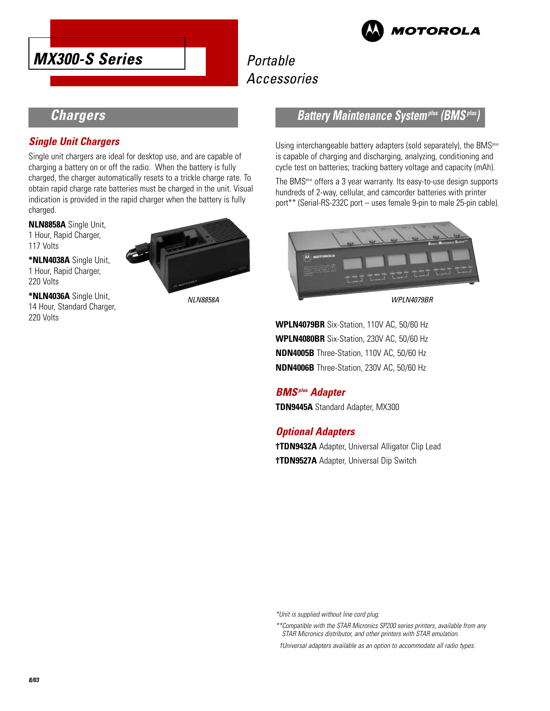

# **Portable** Accessories



## **Chargers**

### **Single Unit Chargers**

Single unit chargers are ideal for desktop use, and are capable of charging a battery on or off the radio. When the battery is fully charged, the charger automatically resets to a trickle charge rate. To obtain rapid charge rate batteries must be charged in the unit. Visual indication is provided in the rapid charger when the battery is fully charged.

**NLN8858A** Single Unit, 1 Hour, Rapid Charger, 117 Volts

**\*NLN4038A** Single Unit, 1 Hour, Rapid Charger, 220 Volts

**\*NLN4036A** Single Unit, 14 Hour, Standard Charger, 220 Volts



### **Battery Maintenance System<sup>plus</sup> (BMS<sup>***i***</sup>**

Using interchangeable battery adapters (sold separately), the BMS<sup>plus</sup> is capable of charging and discharging, analyzing, conditioning and cycle test on batteries; tracking battery voltage and capacity (mAh).

The BMSplus offers a 3 year warranty. Its easy-to-use design supports hundreds of 2-way, cellular, and camcorder batteries with printer port\*\* (Serial-RS-232C port – uses female 9-pin to male 25-pin cable).



NLN8858A WPLN4079BR

**WPLN4079BR** Six-Station, 110V AC, 50/60 Hz **WPLN4080BR** Six-Station, 230V AC, 50/60 Hz **NDN4005B** Three-Station, 110V AC, 50/60 Hz **NDN4006B** Three-Station, 230V AC, 50/60 Hz

### **BMSplus Adapter**

**TDN9445A** Standard Adapter, MX300

### **Optional Adapters**

**†TDN9432A** Adapter, Universal Alligator Clip Lead **†TDN9527A** Adapter, Universal Dip Switch

\*Unit is supplied without line cord plug.

\*\*Compatible with the STAR Micronics SP200 series printers, available from any STAR Micronics distributor, and other printers with STAR emulation.

†Universal adapters available as an option to accommodate all radio types.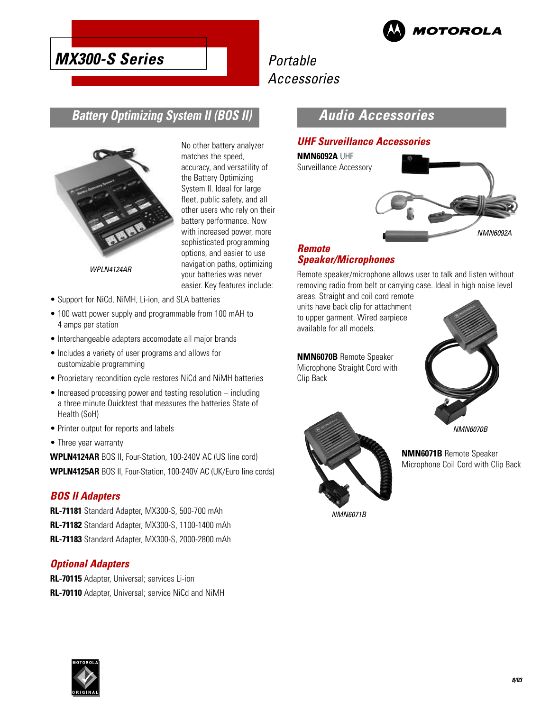

# Portable Accessories

## **Battery Optimizing System II (BOS II)**



No other battery analyzer matches the speed, accuracy, and versatility of the Battery Optimizing System II. Ideal for large fleet, public safety, and all other users who rely on their battery performance. Now with increased power, more sophisticated programming options, and easier to use navigation paths, optimizing your batteries was never easier. Key features include:

- WPLN4124AR
- Support for NiCd, NiMH, Li-ion, and SLA batteries
- 100 watt power supply and programmable from 100 mAH to 4 amps per station
- Interchangeable adapters accomodate all major brands
- Includes a variety of user programs and allows for customizable programming
- Proprietary recondition cycle restores NiCd and NiMH batteries
- Increased processing power and testing resolution including a three minute Quicktest that measures the batteries State of Health (SoH)
- Printer output for reports and labels
- Three year warranty

**WPLN4124AR** BOS II, Four-Station, 100-240V AC (US line cord) **WPLN4125AR** BOS II, Four-Station, 100-240V AC (UK/Euro line cords)

### **BOS II Adapters**

**RL-71181** Standard Adapter, MX300-S, 500-700 mAh **RL-71182** Standard Adapter, MX300-S, 1100-1400 mAh **RL-71183** Standard Adapter, MX300-S, 2000-2800 mAh

### **Optional Adapters**

**RL-70115** Adapter, Universal; services Li-ion **RL-70110** Adapter, Universal; service NiCd and NiMH

## **Audio Accessories**

### **UHF Surveillance Accessories**

**NMN6092A** UHF Surveillance Accessory



### **Remote Speaker/Microphones**

Remote speaker/microphone allows user to talk and listen without removing radio from belt or carrying case. Ideal in high noise level

areas. Straight and coil cord remote units have back clip for attachment to upper garment. Wired earpiece available for all models.

**NMN6070B** Remote Speaker Microphone Straight Cord with Clip Back





**NMN6071B** Remote Speaker Microphone Coil Cord with Clip Back

NMN6071B

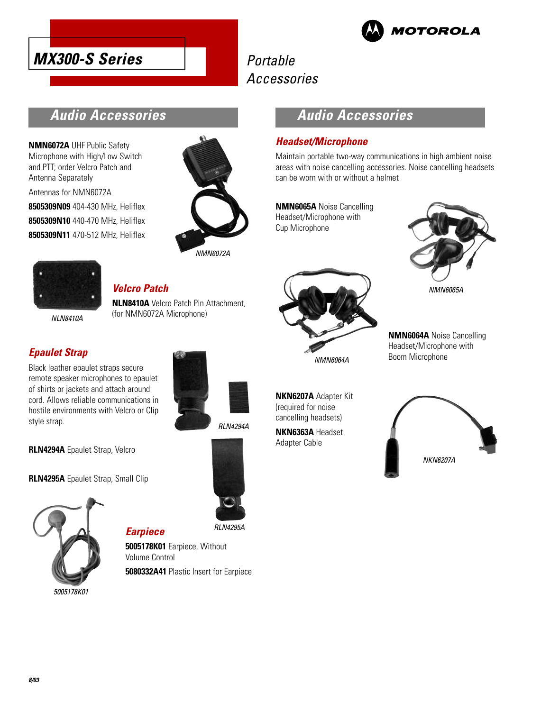



# Portable Accessories

## **Audio Accessories**

**NMN6072A** UHF Public Safety Microphone with High/Low Switch and PTT; order Velcro Patch and Antenna Separately Antennas for NMN6072A **8505309N09** 404-430 MHz, Heliflex **8505309N10** 440-470 MHz, Heliflex **8505309N11** 470-512 MHz, Heliflex



NMN6072A

## **Audio Accessories**

### **Headset/Microphone**

Maintain portable two-way communications in high ambient noise areas with noise cancelling accessories. Noise cancelling headsets can be worn with or without a helmet

**NMN6065A** Noise Cancelling Headset/Microphone with Cup Microphone



NMN6065A

**NMN6064A** Noise Cancelling Headset/Microphone with Boom Microphone



### **Velcro Patch NLN8410A** Velcro Patch Pin Attachment, (for NMN6072A Microphone)

**NI N8410A** 

### **Epaulet Strap**

Black leather epaulet straps secure remote speaker microphones to epaulet of shirts or jackets and attach around cord. Allows reliable communications in hostile environments with Velcro or Clip style strap.



RLN4294A

**RLN4294A** Epaulet Strap, Velcro

**RLN4295A** Epaulet Strap, Small Clip



**Earpiece**

**5005178K01** Earpiece, Without Volume Control **5080332A41** Plastic Insert for Earpiece



NMN6064A

**NKN6207A** Adapter Kit (required for noise cancelling headsets) **NKN6363A** Headset

Adapter Cable

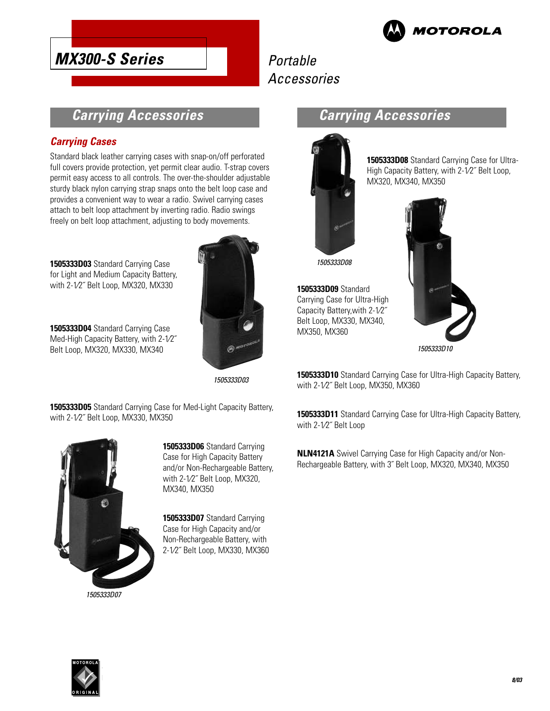

# Portable Accessories

## **Carrying Accessories**

## **Carrying Cases**

Standard black leather carrying cases with snap-on/off perforated full covers provide protection, yet permit clear audio. T-strap covers permit easy access to all controls. The over-the-shoulder adjustable sturdy black nylon carrying strap snaps onto the belt loop case and provides a convenient way to wear a radio. Swivel carrying cases attach to belt loop attachment by inverting radio. Radio swings freely on belt loop attachment, adjusting to body movements.

**1505333D03** Standard Carrying Case for Light and Medium Capacity Battery, with 2-1⁄2˝ Belt Loop, MX320, MX330

**1505333D04** Standard Carrying Case Med-High Capacity Battery, with 2-1⁄2˝ Belt Loop, MX320, MX330, MX340



1505333D03

**1505333D05** Standard Carrying Case for Med-Light Capacity Battery, with 2-1⁄2˝ Belt Loop, MX330, MX350



**1505333D06** Standard Carrying Case for High Capacity Battery and/or Non-Rechargeable Battery, with 2-1⁄2˝ Belt Loop, MX320, MX340, MX350

**1505333D07** Standard Carrying Case for High Capacity and/or Non-Rechargeable Battery, with 2-1⁄2˝ Belt Loop, MX330, MX360

## **Carrying Accessories**



**1505333D09** Standard Carrying Case for Ultra-High Capacity Battery,with 2-1⁄2˝ Belt Loop, MX330, MX340,

MX350, MX360

**1505333D08** Standard Carrying Case for Ultra-High Capacity Battery, with 2-1⁄2˝ Belt Loop, MX320, MX340, MX350



1505333D10

**1505333D10** Standard Carrying Case for Ultra-High Capacity Battery, with 2-1⁄2˝ Belt Loop, MX350, MX360

**1505333D11** Standard Carrying Case for Ultra-High Capacity Battery, with 2-1⁄2˝ Belt Loop

**NLN4121A** Swivel Carrying Case for High Capacity and/or Non-Rechargeable Battery, with 3˝ Belt Loop, MX320, MX340, MX350

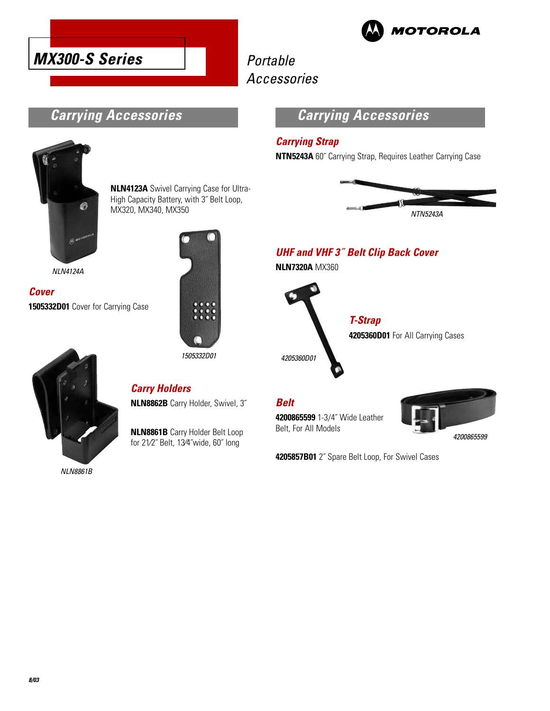



# Portable Accessories

## **Carrying Accessories**



**NLN4123A** Swivel Carrying Case for Ultra-High Capacity Battery, with 3˝ Belt Loop, MX320, MX340, MX350

NLN4124A

**Cover 1505332D01** Cover for Carrying Case



# **NLN8862B** Carry Holder, Swivel, 3˝

**Carry Holders**

**NLN8861B** Carry Holder Belt Loop

for 21⁄2˝ Belt, 13⁄4˝wide, 60˝ long

NLN8861B



## **Carrying Accessories**

### **Carrying Strap**

**NTN5243A** 60˝ Carrying Strap, Requires Leather Carrying Case



## **UHF and VHF 3˝ Belt Clip Back Cover**

**NLN7320A** MX360

**T-Strap 4205360D01** For All Carrying Cases 4205360D01

### **Belt**

**4200865599** 1-3/4˝ Wide Leather Belt, For All Models



**4205857B01** 2˝ Spare Belt Loop, For Swivel Cases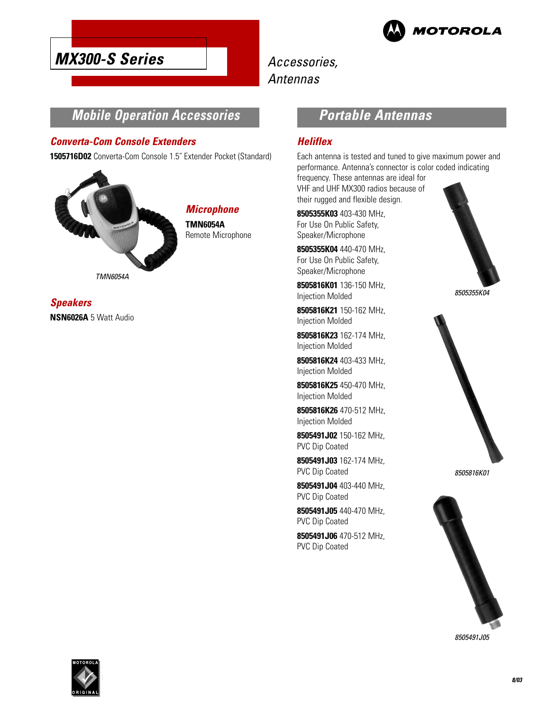

Accessories, Antennas

## **Mobile Operation Accessories**

### **Converta-Com Console Extenders**

**1505716D02** Converta-Com Console 1.5˝ Extender Pocket (Standard)



**Microphone TMN6054A** Remote Microphone

**Speakers NSN6026A** 5 Watt Audio

## **Portable Antennas**

### **Heliflex**

Each antenna is tested and tuned to give maximum power and performance. Antenna's connector is color coded indicating frequency. These antennas are ideal for VHF and UHF MX300 radios because of their rugged and flexible design.

**8505355K03** 403-430 MHz, For Use On Public Safety, Speaker/Microphone

**8505355K04** 440-470 MHz, For Use On Public Safety, Speaker/Microphone

**8505816K01** 136-150 MHz, Injection Molded

**8505816K21** 150-162 MHz, Injection Molded

**8505816K23** 162-174 MHz, Injection Molded

**8505816K24** 403-433 MHz, Injection Molded

**8505816K25** 450-470 MHz, Injection Molded

**8505816K26** 470-512 MHz, Injection Molded

**8505491J02** 150-162 MHz, PVC Dip Coated

**8505491J03** 162-174 MHz, PVC Dip Coated

**8505491J04** 403-440 MHz, PVC Dip Coated

**8505491J05** 440-470 MHz, PVC Dip Coated

**8505491J06** 470-512 MHz, PVC Dip Coated









8505491J05

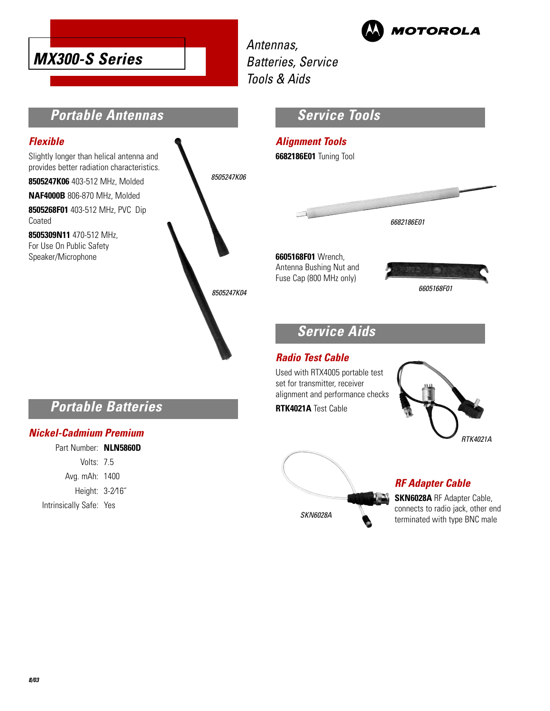

**MOTOROLA** 

Antennas, Batteries, Service Tools & Aids

# **Portable Antennas**

### **Flexible**

Slightly longer than helical antenna and provides better radiation characteristics.

**8505247K06** 403-512 MHz, Molded

**NAF4000B** 806-870 MHz, Molded

**8505268F01** 403-512 MHz, PVC Dip Coated

**8505309N11** 470-512 MHz, For Use On Public Safety Speaker/Microphone



## **Service Tools**

# **Alignment Tools**

**6682186E01** Tuning Tool



**6605168F01** Wrench, Antenna Bushing Nut and Fuse Cap (800 MHz only)



#### 6605168F01

## **Service Aids**

### **Radio Test Cable**

Used with RTX4005 portable test set for transmitter, receiver alignment and performance checks **RTK4021A** Test Cable





## **RF Adapter Cable**

**SKN6028A** RF Adapter Cable, connects to radio jack, other end terminated with type BNC male

## **Portable Batteries**

### **Nickel-Cadmium Premium**

Part Number: **NLN5860D** Volts: 7.5 Avg. mAh: 1400 Height: 3-2⁄16˝ Intrinsically Safe: Yes